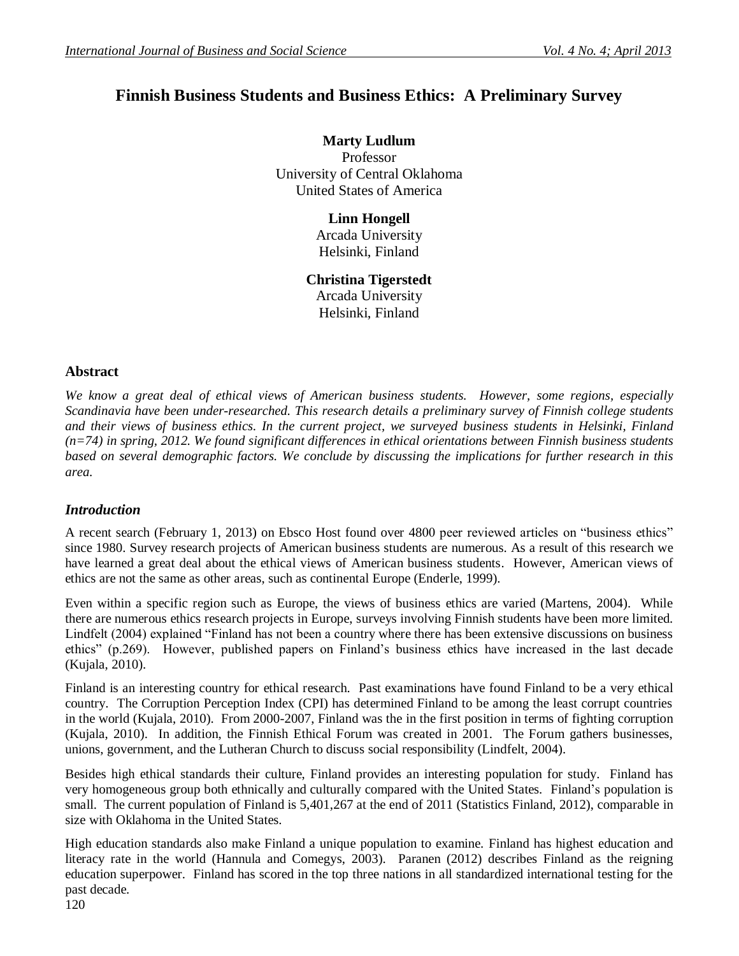# **Finnish Business Students and Business Ethics: A Preliminary Survey**

**Marty Ludlum** Professor University of Central Oklahoma United States of America

> **Linn Hongell** Arcada University Helsinki, Finland

**Christina Tigerstedt** Arcada University Helsinki, Finland

## **Abstract**

*We know a great deal of ethical views of American business students. However, some regions, especially Scandinavia have been under-researched. This research details a preliminary survey of Finnish college students and their views of business ethics. In the current project, we surveyed business students in Helsinki, Finland (n=74) in spring, 2012. We found significant differences in ethical orientations between Finnish business students based on several demographic factors. We conclude by discussing the implications for further research in this area.*

# *Introduction*

A recent search (February 1, 2013) on Ebsco Host found over 4800 peer reviewed articles on "business ethics" since 1980. Survey research projects of American business students are numerous. As a result of this research we have learned a great deal about the ethical views of American business students. However, American views of ethics are not the same as other areas, such as continental Europe (Enderle, 1999).

Even within a specific region such as Europe, the views of business ethics are varied (Martens, 2004). While there are numerous ethics research projects in Europe, surveys involving Finnish students have been more limited. Lindfelt (2004) explained "Finland has not been a country where there has been extensive discussions on business ethics" (p.269). However, published papers on Finland's business ethics have increased in the last decade (Kujala, 2010).

Finland is an interesting country for ethical research. Past examinations have found Finland to be a very ethical country. The Corruption Perception Index (CPI) has determined Finland to be among the least corrupt countries in the world (Kujala, 2010). From 2000-2007, Finland was the in the first position in terms of fighting corruption (Kujala, 2010). In addition, the Finnish Ethical Forum was created in 2001. The Forum gathers businesses, unions, government, and the Lutheran Church to discuss social responsibility (Lindfelt, 2004).

Besides high ethical standards their culture, Finland provides an interesting population for study. Finland has very homogeneous group both ethnically and culturally compared with the United States. Finland's population is small. The current population of Finland is 5,401,267 at the end of 2011 (Statistics Finland, 2012), comparable in size with Oklahoma in the United States.

High education standards also make Finland a unique population to examine. Finland has highest education and literacy rate in the world (Hannula and Comegys, 2003). Paranen (2012) describes Finland as the reigning education superpower. Finland has scored in the top three nations in all standardized international testing for the past decade.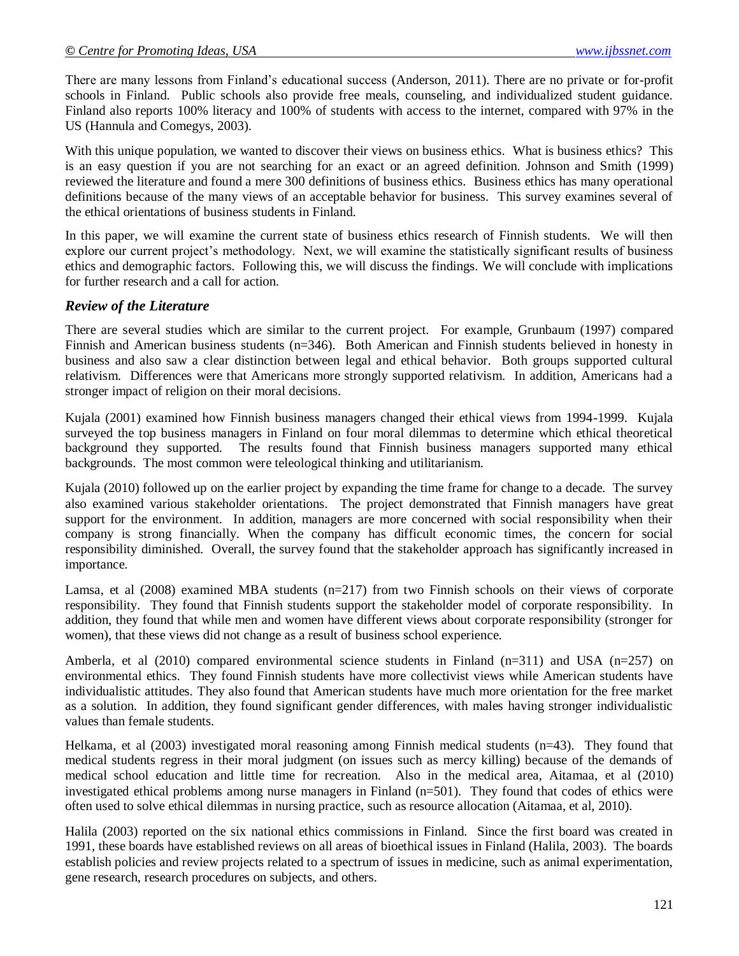There are many lessons from Finland's educational success (Anderson, 2011). There are no private or for-profit schools in Finland. Public schools also provide free meals, counseling, and individualized student guidance. Finland also reports 100% literacy and 100% of students with access to the internet, compared with 97% in the US (Hannula and Comegys, 2003).

With this unique population, we wanted to discover their views on business ethics. What is business ethics? This is an easy question if you are not searching for an exact or an agreed definition. Johnson and Smith (1999) reviewed the literature and found a mere 300 definitions of business ethics. Business ethics has many operational definitions because of the many views of an acceptable behavior for business. This survey examines several of the ethical orientations of business students in Finland.

In this paper, we will examine the current state of business ethics research of Finnish students. We will then explore our current project's methodology. Next, we will examine the statistically significant results of business ethics and demographic factors. Following this, we will discuss the findings. We will conclude with implications for further research and a call for action.

#### *Review of the Literature*

There are several studies which are similar to the current project. For example, Grunbaum (1997) compared Finnish and American business students (n=346). Both American and Finnish students believed in honesty in business and also saw a clear distinction between legal and ethical behavior. Both groups supported cultural relativism. Differences were that Americans more strongly supported relativism. In addition, Americans had a stronger impact of religion on their moral decisions.

Kujala (2001) examined how Finnish business managers changed their ethical views from 1994-1999. Kujala surveyed the top business managers in Finland on four moral dilemmas to determine which ethical theoretical background they supported. The results found that Finnish business managers supported many ethical backgrounds. The most common were teleological thinking and utilitarianism.

Kujala (2010) followed up on the earlier project by expanding the time frame for change to a decade. The survey also examined various stakeholder orientations. The project demonstrated that Finnish managers have great support for the environment. In addition, managers are more concerned with social responsibility when their company is strong financially. When the company has difficult economic times, the concern for social responsibility diminished. Overall, the survey found that the stakeholder approach has significantly increased in importance.

Lamsa, et al (2008) examined MBA students (n=217) from two Finnish schools on their views of corporate responsibility. They found that Finnish students support the stakeholder model of corporate responsibility. In addition, they found that while men and women have different views about corporate responsibility (stronger for women), that these views did not change as a result of business school experience.

Amberla, et al  $(2010)$  compared environmental science students in Finland  $(n=311)$  and USA  $(n=257)$  on environmental ethics. They found Finnish students have more collectivist views while American students have individualistic attitudes. They also found that American students have much more orientation for the free market as a solution. In addition, they found significant gender differences, with males having stronger individualistic values than female students.

Helkama, et al (2003) investigated moral reasoning among Finnish medical students (n=43). They found that medical students regress in their moral judgment (on issues such as mercy killing) because of the demands of medical school education and little time for recreation. Also in the medical area, Aitamaa, et al (2010) investigated ethical problems among nurse managers in Finland (n=501). They found that codes of ethics were often used to solve ethical dilemmas in nursing practice, such as resource allocation (Aitamaa, et al, 2010).

Halila (2003) reported on the six national ethics commissions in Finland. Since the first board was created in 1991, these boards have established reviews on all areas of bioethical issues in Finland (Halila, 2003). The boards establish policies and review projects related to a spectrum of issues in medicine, such as animal experimentation, gene research, research procedures on subjects, and others.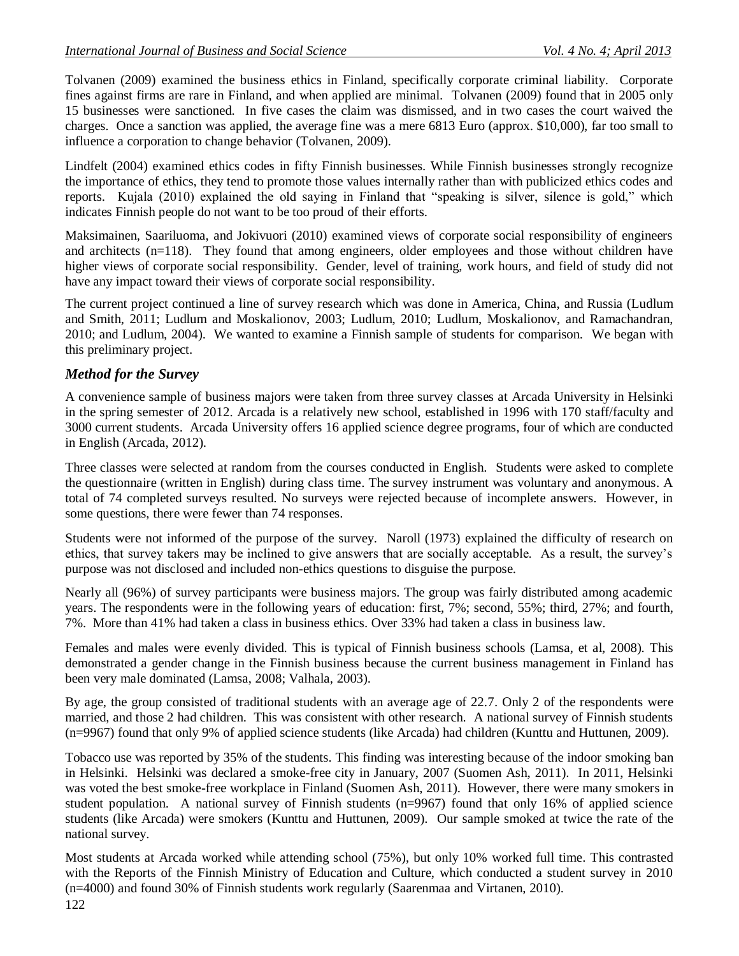Tolvanen (2009) examined the business ethics in Finland, specifically corporate criminal liability. Corporate fines against firms are rare in Finland, and when applied are minimal. Tolvanen (2009) found that in 2005 only 15 businesses were sanctioned. In five cases the claim was dismissed, and in two cases the court waived the charges. Once a sanction was applied, the average fine was a mere 6813 Euro (approx. \$10,000), far too small to influence a corporation to change behavior (Tolvanen, 2009).

Lindfelt (2004) examined ethics codes in fifty Finnish businesses. While Finnish businesses strongly recognize the importance of ethics, they tend to promote those values internally rather than with publicized ethics codes and reports. Kujala (2010) explained the old saying in Finland that "speaking is silver, silence is gold," which indicates Finnish people do not want to be too proud of their efforts.

Maksimainen, Saariluoma, and Jokivuori (2010) examined views of corporate social responsibility of engineers and architects (n=118). They found that among engineers, older employees and those without children have higher views of corporate social responsibility. Gender, level of training, work hours, and field of study did not have any impact toward their views of corporate social responsibility.

The current project continued a line of survey research which was done in America, China, and Russia (Ludlum and Smith, 2011; Ludlum and Moskalionov, 2003; Ludlum, 2010; Ludlum, Moskalionov, and Ramachandran, 2010; and Ludlum, 2004). We wanted to examine a Finnish sample of students for comparison. We began with this preliminary project.

# *Method for the Survey*

A convenience sample of business majors were taken from three survey classes at Arcada University in Helsinki in the spring semester of 2012. Arcada is a relatively new school, established in 1996 with 170 staff/faculty and 3000 current students. Arcada University offers 16 applied science degree programs, four of which are conducted in English (Arcada, 2012).

Three classes were selected at random from the courses conducted in English. Students were asked to complete the questionnaire (written in English) during class time. The survey instrument was voluntary and anonymous. A total of 74 completed surveys resulted. No surveys were rejected because of incomplete answers. However, in some questions, there were fewer than 74 responses.

Students were not informed of the purpose of the survey. Naroll (1973) explained the difficulty of research on ethics, that survey takers may be inclined to give answers that are socially acceptable. As a result, the survey's purpose was not disclosed and included non-ethics questions to disguise the purpose.

Nearly all (96%) of survey participants were business majors. The group was fairly distributed among academic years. The respondents were in the following years of education: first, 7%; second, 55%; third, 27%; and fourth, 7%. More than 41% had taken a class in business ethics. Over 33% had taken a class in business law.

Females and males were evenly divided. This is typical of Finnish business schools (Lamsa, et al, 2008). This demonstrated a gender change in the Finnish business because the current business management in Finland has been very male dominated (Lamsa, 2008; Valhala, 2003).

By age, the group consisted of traditional students with an average age of 22.7. Only 2 of the respondents were married, and those 2 had children. This was consistent with other research. A national survey of Finnish students (n=9967) found that only 9% of applied science students (like Arcada) had children (Kunttu and Huttunen, 2009).

Tobacco use was reported by 35% of the students. This finding was interesting because of the indoor smoking ban in Helsinki. Helsinki was declared a smoke-free city in January, 2007 (Suomen Ash, 2011). In 2011, Helsinki was voted the best smoke-free workplace in Finland (Suomen Ash, 2011). However, there were many smokers in student population. A national survey of Finnish students (n=9967) found that only 16% of applied science students (like Arcada) were smokers (Kunttu and Huttunen, 2009). Our sample smoked at twice the rate of the national survey.

Most students at Arcada worked while attending school (75%), but only 10% worked full time. This contrasted with the Reports of the Finnish Ministry of Education and Culture, which conducted a student survey in 2010 (n=4000) and found 30% of Finnish students work regularly (Saarenmaa and Virtanen, 2010).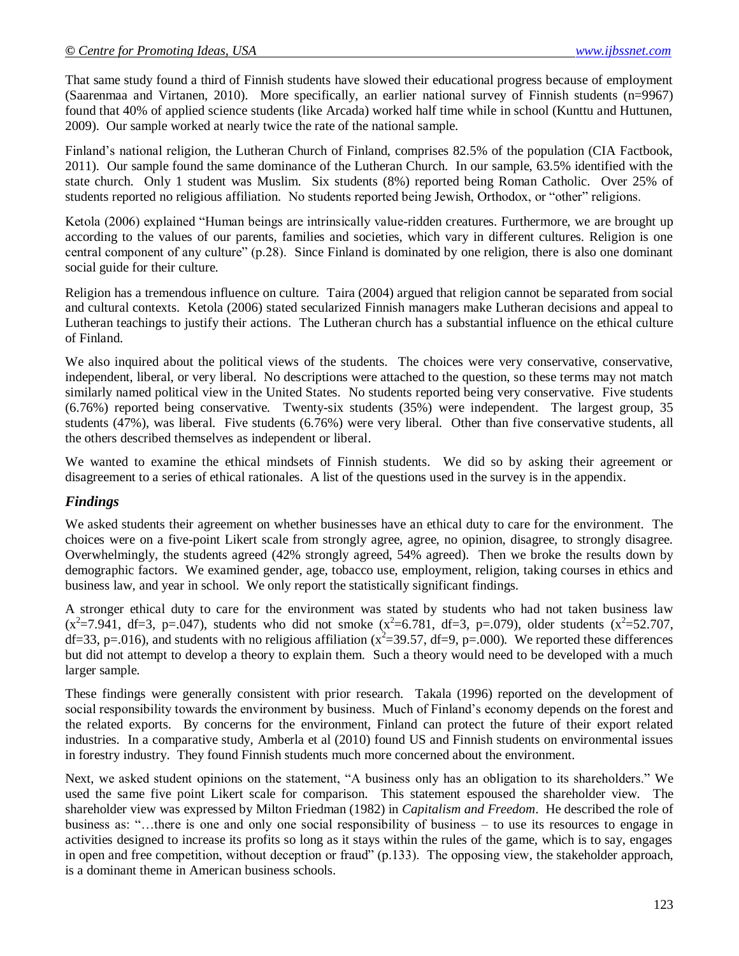That same study found a third of Finnish students have slowed their educational progress because of employment (Saarenmaa and Virtanen, 2010). More specifically, an earlier national survey of Finnish students (n=9967) found that 40% of applied science students (like Arcada) worked half time while in school (Kunttu and Huttunen, 2009). Our sample worked at nearly twice the rate of the national sample.

Finland's national religion, the Lutheran Church of Finland, comprises 82.5% of the population (CIA Factbook, 2011). Our sample found the same dominance of the Lutheran Church. In our sample, 63.5% identified with the state church. Only 1 student was Muslim. Six students (8%) reported being Roman Catholic. Over 25% of students reported no religious affiliation. No students reported being Jewish, Orthodox, or "other" religions.

Ketola (2006) explained "Human beings are intrinsically value-ridden creatures. Furthermore, we are brought up according to the values of our parents, families and societies, which vary in different cultures. Religion is one central component of any culture" (p.28). Since Finland is dominated by one religion, there is also one dominant social guide for their culture.

Religion has a tremendous influence on culture. Taira (2004) argued that religion cannot be separated from social and cultural contexts. Ketola (2006) stated secularized Finnish managers make Lutheran decisions and appeal to Lutheran teachings to justify their actions. The Lutheran church has a substantial influence on the ethical culture of Finland.

We also inquired about the political views of the students. The choices were very conservative, conservative, independent, liberal, or very liberal. No descriptions were attached to the question, so these terms may not match similarly named political view in the United States. No students reported being very conservative. Five students (6.76%) reported being conservative. Twenty-six students (35%) were independent. The largest group, 35 students (47%), was liberal. Five students (6.76%) were very liberal. Other than five conservative students, all the others described themselves as independent or liberal.

We wanted to examine the ethical mindsets of Finnish students. We did so by asking their agreement or disagreement to a series of ethical rationales. A list of the questions used in the survey is in the appendix.

## *Findings*

We asked students their agreement on whether businesses have an ethical duty to care for the environment. The choices were on a five-point Likert scale from strongly agree, agree, no opinion, disagree, to strongly disagree. Overwhelmingly, the students agreed (42% strongly agreed, 54% agreed). Then we broke the results down by demographic factors. We examined gender, age, tobacco use, employment, religion, taking courses in ethics and business law, and year in school. We only report the statistically significant findings.

A stronger ethical duty to care for the environment was stated by students who had not taken business law  $(x^2=7.941, df=3, p=.047)$ , students who did not smoke  $(x^2=6.781, df=3, p=.079)$ , older students  $(x^2=52.707,$ df=33, p=.016), and students with no religious affiliation ( $x^2$ =39.57, df=9, p=.000). We reported these differences but did not attempt to develop a theory to explain them. Such a theory would need to be developed with a much larger sample.

These findings were generally consistent with prior research. Takala (1996) reported on the development of social responsibility towards the environment by business. Much of Finland's economy depends on the forest and the related exports. By concerns for the environment, Finland can protect the future of their export related industries. In a comparative study, Amberla et al (2010) found US and Finnish students on environmental issues in forestry industry. They found Finnish students much more concerned about the environment.

Next, we asked student opinions on the statement, "A business only has an obligation to its shareholders." We used the same five point Likert scale for comparison. This statement espoused the shareholder view. The shareholder view was expressed by Milton Friedman (1982) in *Capitalism and Freedom*. He described the role of business as: "…there is one and only one social responsibility of business – to use its resources to engage in activities designed to increase its profits so long as it stays within the rules of the game, which is to say, engages in open and free competition, without deception or fraud" (p.133). The opposing view, the stakeholder approach, is a dominant theme in American business schools.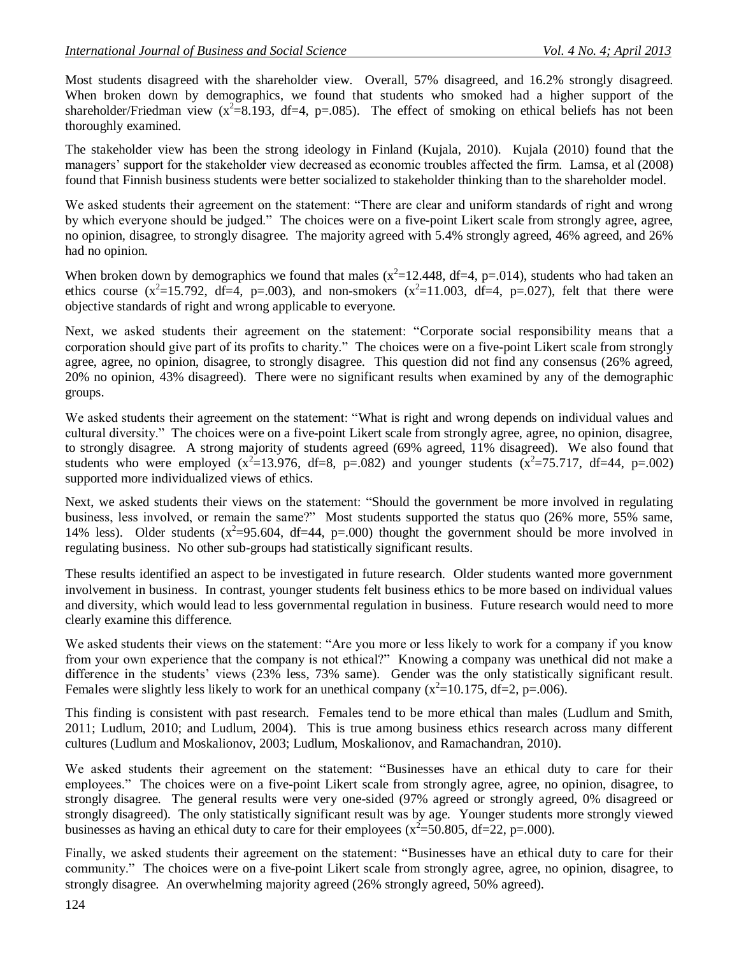Most students disagreed with the shareholder view. Overall, 57% disagreed, and 16.2% strongly disagreed. When broken down by demographics, we found that students who smoked had a higher support of the shareholder/Friedman view  $(x^2=8.193, df=4, p=.085)$ . The effect of smoking on ethical beliefs has not been thoroughly examined.

The stakeholder view has been the strong ideology in Finland (Kujala, 2010). Kujala (2010) found that the managers' support for the stakeholder view decreased as economic troubles affected the firm. Lamsa, et al (2008) found that Finnish business students were better socialized to stakeholder thinking than to the shareholder model.

We asked students their agreement on the statement: "There are clear and uniform standards of right and wrong by which everyone should be judged." The choices were on a five-point Likert scale from strongly agree, agree, no opinion, disagree, to strongly disagree. The majority agreed with 5.4% strongly agreed, 46% agreed, and 26% had no opinion.

When broken down by demographics we found that males  $(x^2=12.448, df=4, p=.014)$ , students who had taken an ethics course  $(x^2=15.792, df=4, p=.003)$ , and non-smokers  $(x^2=11.003, df=4, p=.027)$ , felt that there were objective standards of right and wrong applicable to everyone.

Next, we asked students their agreement on the statement: "Corporate social responsibility means that a corporation should give part of its profits to charity." The choices were on a five-point Likert scale from strongly agree, agree, no opinion, disagree, to strongly disagree. This question did not find any consensus (26% agreed, 20% no opinion, 43% disagreed). There were no significant results when examined by any of the demographic groups.

We asked students their agreement on the statement: "What is right and wrong depends on individual values and cultural diversity." The choices were on a five-point Likert scale from strongly agree, agree, no opinion, disagree, to strongly disagree. A strong majority of students agreed (69% agreed, 11% disagreed). We also found that students who were employed  $(x^2=13.976, df=8, p=.082)$  and younger students  $(x^2=75.717, df=44, p=.002)$ supported more individualized views of ethics.

Next, we asked students their views on the statement: "Should the government be more involved in regulating business, less involved, or remain the same?" Most students supported the status quo (26% more, 55% same, 14% less). Older students  $(x^2=95.604, df=44, p=.000)$  thought the government should be more involved in regulating business. No other sub-groups had statistically significant results.

These results identified an aspect to be investigated in future research. Older students wanted more government involvement in business. In contrast, younger students felt business ethics to be more based on individual values and diversity, which would lead to less governmental regulation in business. Future research would need to more clearly examine this difference.

We asked students their views on the statement: "Are you more or less likely to work for a company if you know from your own experience that the company is not ethical?" Knowing a company was unethical did not make a difference in the students' views (23% less, 73% same). Gender was the only statistically significant result. Females were slightly less likely to work for an unethical company  $(x^2=10.175, df=2, p=.006)$ .

This finding is consistent with past research. Females tend to be more ethical than males (Ludlum and Smith, 2011; Ludlum, 2010; and Ludlum, 2004). This is true among business ethics research across many different cultures (Ludlum and Moskalionov, 2003; Ludlum, Moskalionov, and Ramachandran, 2010).

We asked students their agreement on the statement: "Businesses have an ethical duty to care for their employees." The choices were on a five-point Likert scale from strongly agree, agree, no opinion, disagree, to strongly disagree. The general results were very one-sided (97% agreed or strongly agreed, 0% disagreed or strongly disagreed). The only statistically significant result was by age. Younger students more strongly viewed businesses as having an ethical duty to care for their employees  $(x^2=50.805, df=22, p=.000)$ .

Finally, we asked students their agreement on the statement: "Businesses have an ethical duty to care for their community." The choices were on a five-point Likert scale from strongly agree, agree, no opinion, disagree, to strongly disagree. An overwhelming majority agreed (26% strongly agreed, 50% agreed).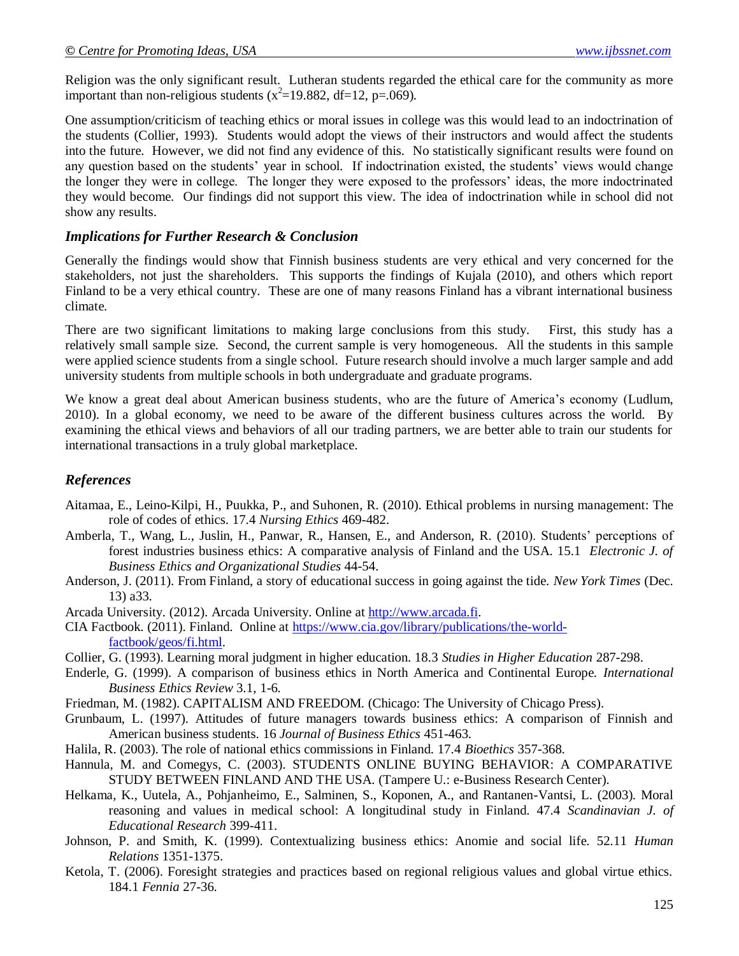Religion was the only significant result. Lutheran students regarded the ethical care for the community as more important than non-religious students ( $x^2$ =19.882, df=12, p=.069).

One assumption/criticism of teaching ethics or moral issues in college was this would lead to an indoctrination of the students (Collier, 1993). Students would adopt the views of their instructors and would affect the students into the future. However, we did not find any evidence of this. No statistically significant results were found on any question based on the students' year in school. If indoctrination existed, the students' views would change the longer they were in college. The longer they were exposed to the professors' ideas, the more indoctrinated they would become. Our findings did not support this view. The idea of indoctrination while in school did not show any results.

#### *Implications for Further Research & Conclusion*

Generally the findings would show that Finnish business students are very ethical and very concerned for the stakeholders, not just the shareholders. This supports the findings of Kujala (2010), and others which report Finland to be a very ethical country. These are one of many reasons Finland has a vibrant international business climate.

There are two significant limitations to making large conclusions from this study. First, this study has a relatively small sample size. Second, the current sample is very homogeneous. All the students in this sample were applied science students from a single school. Future research should involve a much larger sample and add university students from multiple schools in both undergraduate and graduate programs.

We know a great deal about American business students, who are the future of America's economy (Ludlum, 2010). In a global economy, we need to be aware of the different business cultures across the world. By examining the ethical views and behaviors of all our trading partners, we are better able to train our students for international transactions in a truly global marketplace.

## *References*

- Aitamaa, E., Leino-Kilpi, H., Puukka, P., and Suhonen, R. (2010). Ethical problems in nursing management: The role of codes of ethics. 17.4 *Nursing Ethics* 469-482.
- Amberla, T., Wang, L., Juslin, H., Panwar, R., Hansen, E., and Anderson, R. (2010). Students' perceptions of forest industries business ethics: A comparative analysis of Finland and the USA. 15.1 *Electronic J. of Business Ethics and Organizational Studies* 44-54.
- Anderson, J. (2011). From Finland, a story of educational success in going against the tide. *New York Times* (Dec. 13) a33.
- Arcada University. (2012). Arcada University. Online at [http://www.arcada.fi.](http://www.arcada.fi/)
- CIA Factbook. (2011). Finland. Online at [https://www.cia.gov/library/publications/the-world](https://www.cia.gov/library/publications/the-world-factbook/geos/fi.html)[factbook/geos/fi.html.](https://www.cia.gov/library/publications/the-world-factbook/geos/fi.html)
- Collier, G. (1993). Learning moral judgment in higher education. 18.3 *Studies in Higher Education* 287-298.
- Enderle, G. (1999). A comparison of business ethics in North America and Continental Europe. *International Business Ethics Review* 3.1, 1-6.
- Friedman, M. (1982). CAPITALISM AND FREEDOM. (Chicago: The University of Chicago Press).
- Grunbaum, L. (1997). Attitudes of future managers towards business ethics: A comparison of Finnish and American business students. 16 *Journal of Business Ethics* 451-463.
- Halila, R. (2003). The role of national ethics commissions in Finland. 17.4 *Bioethics* 357-368.
- Hannula, M. and Comegys, C. (2003). STUDENTS ONLINE BUYING BEHAVIOR: A COMPARATIVE STUDY BETWEEN FINLAND AND THE USA. (Tampere U.: e-Business Research Center).
- Helkama, K., Uutela, A., Pohjanheimo, E., Salminen, S., Koponen, A., and Rantanen-Vantsi, L. (2003). Moral reasoning and values in medical school: A longitudinal study in Finland. 47.4 *Scandinavian J. of Educational Research* 399-411.
- Johnson, P. and Smith, K. (1999). Contextualizing business ethics: Anomie and social life. 52.11 *Human Relations* 1351-1375.
- Ketola, T. (2006). Foresight strategies and practices based on regional religious values and global virtue ethics. 184.1 *Fennia* 27-36.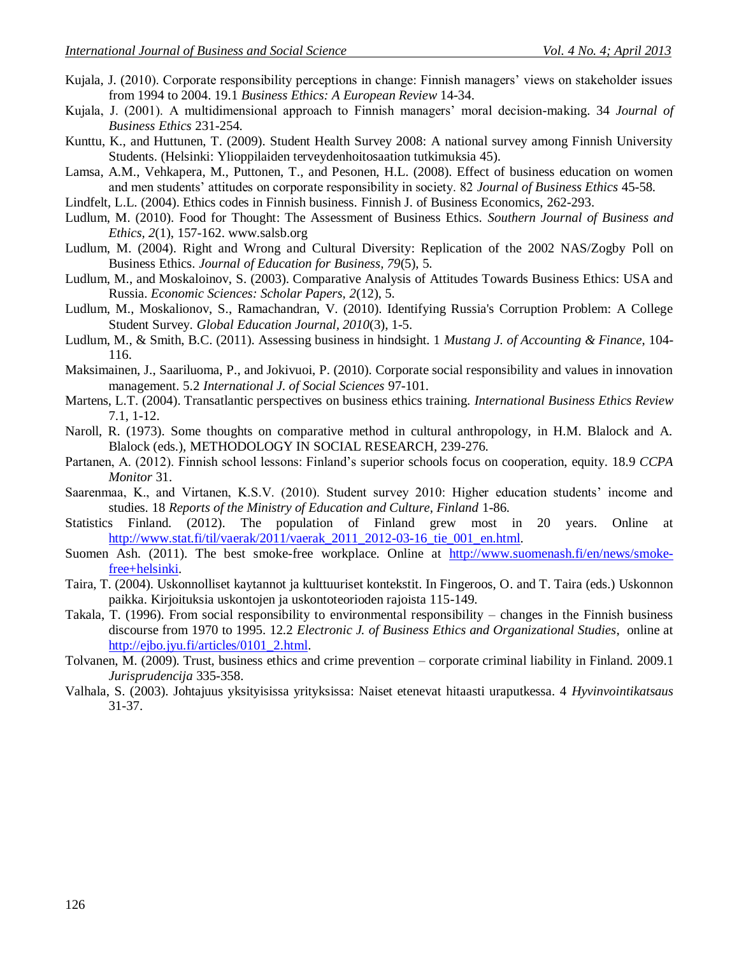- Kujala, J. (2010). Corporate responsibility perceptions in change: Finnish managers' views on stakeholder issues from 1994 to 2004. 19.1 *Business Ethics: A European Review* 14-34.
- Kujala, J. (2001). A multidimensional approach to Finnish managers' moral decision-making. 34 *Journal of Business Ethics* 231-254.
- Kunttu, K., and Huttunen, T. (2009). Student Health Survey 2008: A national survey among Finnish University Students. (Helsinki: Ylioppilaiden terveydenhoitosaation tutkimuksia 45).
- Lamsa, A.M., Vehkapera, M., Puttonen, T., and Pesonen, H.L. (2008). Effect of business education on women and men students' attitudes on corporate responsibility in society. 82 *Journal of Business Ethics* 45-58.
- Lindfelt, L.L. (2004). Ethics codes in Finnish business. Finnish J. of Business Economics, 262-293.
- Ludlum, M. (2010). Food for Thought: The Assessment of Business Ethics. *Southern Journal of Business and Ethics, 2*(1), 157-162. www.salsb.org
- Ludlum, M. (2004). Right and Wrong and Cultural Diversity: Replication of the 2002 NAS/Zogby Poll on Business Ethics. *Journal of Education for Business, 79*(5), 5.
- Ludlum, M., and Moskaloinov, S. (2003). Comparative Analysis of Attitudes Towards Business Ethics: USA and Russia. *Economic Sciences: Scholar Papers, 2*(12), 5.
- Ludlum, M., Moskalionov, S., Ramachandran, V. (2010). Identifying Russia's Corruption Problem: A College Student Survey. *Global Education Journal, 2010*(3), 1-5.
- Ludlum, M., & Smith, B.C. (2011). Assessing business in hindsight. 1 *Mustang J. of Accounting & Finance*, 104- 116.
- Maksimainen, J., Saariluoma, P., and Jokivuoi, P. (2010). Corporate social responsibility and values in innovation management. 5.2 *International J. of Social Sciences* 97-101.
- Martens, L.T. (2004). Transatlantic perspectives on business ethics training. *International Business Ethics Review* 7.1, 1-12.
- Naroll, R. (1973). Some thoughts on comparative method in cultural anthropology, in H.M. Blalock and A. Blalock (eds.), METHODOLOGY IN SOCIAL RESEARCH, 239-276.
- Partanen, A. (2012). Finnish school lessons: Finland's superior schools focus on cooperation, equity. 18.9 *CCPA Monitor* 31.
- Saarenmaa, K., and Virtanen, K.S.V. (2010). Student survey 2010: Higher education students' income and studies. 18 *Reports of the Ministry of Education and Culture, Finland* 1-86.
- Statistics Finland. (2012). The population of Finland grew most in 20 years. Online at [http://www.stat.fi/til/vaerak/2011/vaerak\\_2011\\_2012-03-16\\_tie\\_001\\_en.html.](http://www.stat.fi/til/vaerak/2011/vaerak_2011_2012-03-16_tie_001_en.html)
- Suomen Ash. (2011). The best smoke-free workplace. Online at [http://www.suomenash.fi/en/news/smoke](http://www.suomenash.fi/en/news/smoke-free+helsinki)[free+helsinki.](http://www.suomenash.fi/en/news/smoke-free+helsinki)
- Taira, T. (2004). Uskonnolliset kaytannot ja kulttuuriset kontekstit. In Fingeroos, O. and T. Taira (eds.) Uskonnon paikka. Kirjoituksia uskontojen ja uskontoteorioden rajoista 115-149.
- Takala, T. (1996). From social responsibility to environmental responsibility changes in the Finnish business discourse from 1970 to 1995. 12.2 *Electronic J. of Business Ethics and Organizational Studies*, online at [http://ejbo.jyu.fi/articles/0101\\_2.html.](http://ejbo.jyu.fi/articles/0101_2.html)
- Tolvanen, M. (2009). Trust, business ethics and crime prevention corporate criminal liability in Finland. 2009.1 *Jurisprudencija* 335-358.
- Valhala, S. (2003). Johtajuus yksityisissa yrityksissa: Naiset etenevat hitaasti uraputkessa. 4 *Hyvinvointikatsaus* 31-37.